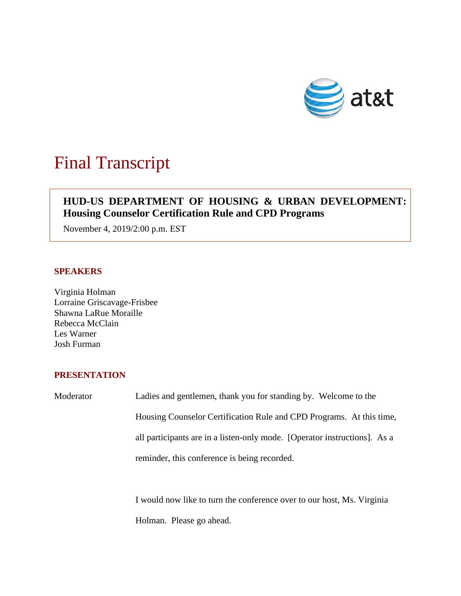

# Final Transcript

# $\overline{\phantom{a}}$ **HUD-US DEPARTMENT OF HOUSING & URBAN DEVELOPMENT: Housing Counselor Certification Rule and CPD Programs**

November 4, 2019/2:00 p.m. EST

## **SPEAKERS**

Virginia Holman Lorraine Griscavage-Frisbee Shawna LaRue Moraille Rebecca McClain Les Warner Josh Furman

### **PRESENTATION**

| Moderator | Ladies and gentlemen, thank you for standing by. Welcome to the           |
|-----------|---------------------------------------------------------------------------|
|           | Housing Counselor Certification Rule and CPD Programs. At this time,      |
|           | all participants are in a listen-only mode. [Operator instructions]. As a |
|           | reminder, this conference is being recorded.                              |
|           |                                                                           |

I would now like to turn the conference over to our host, Ms. Virginia Holman. Please go ahead.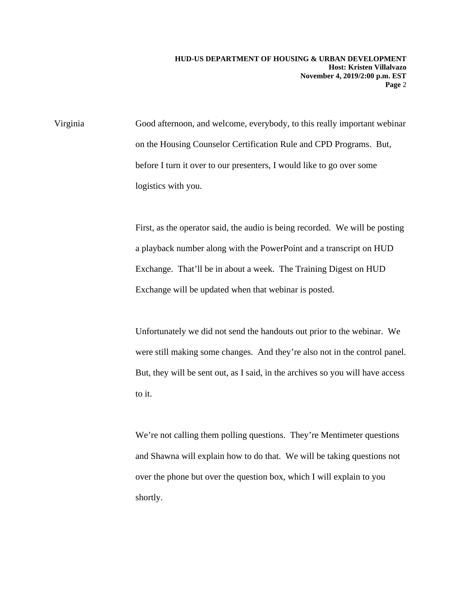Virginia Good afternoon, and welcome, everybody, to this really important webinar on the Housing Counselor Certification Rule and CPD Programs. But, before I turn it over to our presenters, I would like to go over some logistics with you.

> First, as the operator said, the audio is being recorded. We will be posting a playback number along with the PowerPoint and a transcript on HUD Exchange. That'll be in about a week. The Training Digest on HUD Exchange will be updated when that webinar is posted.

> Unfortunately we did not send the handouts out prior to the webinar. We were still making some changes. And they're also not in the control panel. But, they will be sent out, as I said, in the archives so you will have access to it.

We're not calling them polling questions. They're Mentimeter questions and Shawna will explain how to do that. We will be taking questions not over the phone but over the question box, which I will explain to you shortly.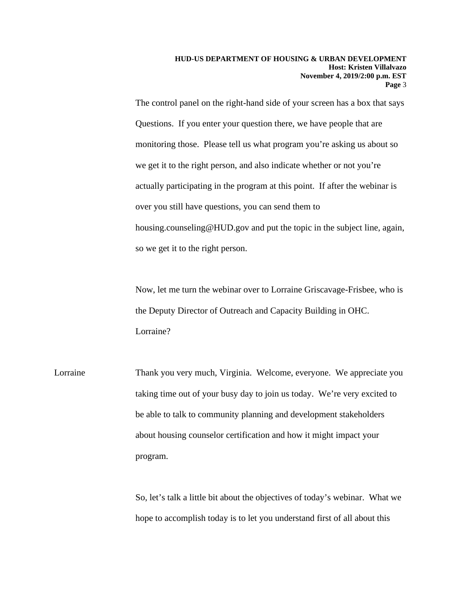The control panel on the right-hand side of your screen has a box that says Questions. If you enter your question there, we have people that are monitoring those. Please tell us what program you're asking us about so we get it to the right person, and also indicate whether or not you're actually participating in the program at this point. If after the webinar is over you still have questions, you can send them to housing.counseling@HUD.gov and put the topic in the subject line, again, so we get it to the right person.

Now, let me turn the webinar over to Lorraine Griscavage-Frisbee, who is the Deputy Director of Outreach and Capacity Building in OHC. Lorraine?

Lorraine Thank you very much, Virginia. Welcome, everyone. We appreciate you taking time out of your busy day to join us today. We're very excited to be able to talk to community planning and development stakeholders about housing counselor certification and how it might impact your program.

> So, let's talk a little bit about the objectives of today's webinar. What we hope to accomplish today is to let you understand first of all about this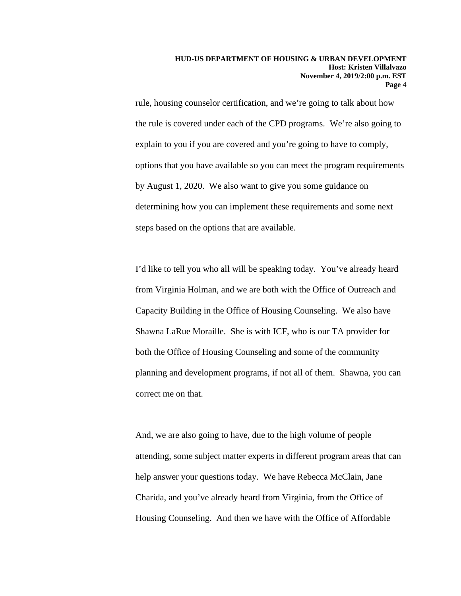rule, housing counselor certification, and we're going to talk about how the rule is covered under each of the CPD programs. We're also going to explain to you if you are covered and you're going to have to comply, options that you have available so you can meet the program requirements by August 1, 2020. We also want to give you some guidance on determining how you can implement these requirements and some next steps based on the options that are available.

I'd like to tell you who all will be speaking today. You've already heard from Virginia Holman, and we are both with the Office of Outreach and Capacity Building in the Office of Housing Counseling. We also have Shawna LaRue Moraille. She is with ICF, who is our TA provider for both the Office of Housing Counseling and some of the community planning and development programs, if not all of them. Shawna, you can correct me on that.

And, we are also going to have, due to the high volume of people attending, some subject matter experts in different program areas that can help answer your questions today. We have Rebecca McClain, Jane Charida, and you've already heard from Virginia, from the Office of Housing Counseling. And then we have with the Office of Affordable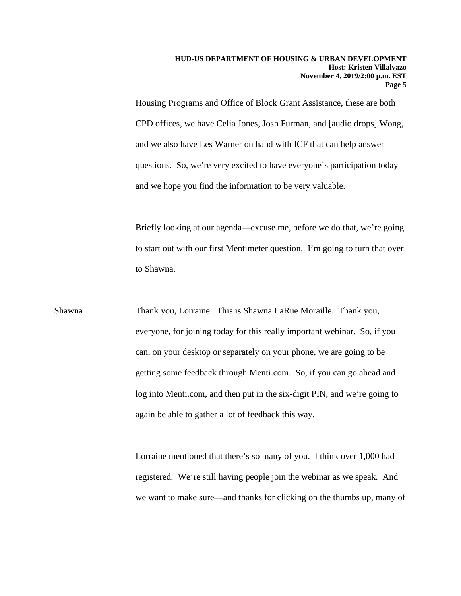Housing Programs and Office of Block Grant Assistance, these are both CPD offices, we have Celia Jones, Josh Furman, and [audio drops] Wong, and we also have Les Warner on hand with ICF that can help answer questions. So, we're very excited to have everyone's participation today and we hope you find the information to be very valuable.

Briefly looking at our agenda—excuse me, before we do that, we're going to start out with our first Mentimeter question. I'm going to turn that over to Shawna.

Shawna Thank you, Lorraine. This is Shawna LaRue Moraille. Thank you, everyone, for joining today for this really important webinar. So, if you can, on your desktop or separately on your phone, we are going to be getting some feedback through Menti.com. So, if you can go ahead and log into Menti.com, and then put in the six-digit PIN, and we're going to again be able to gather a lot of feedback this way.

> Lorraine mentioned that there's so many of you. I think over 1,000 had registered. We're still having people join the webinar as we speak. And we want to make sure—and thanks for clicking on the thumbs up, many of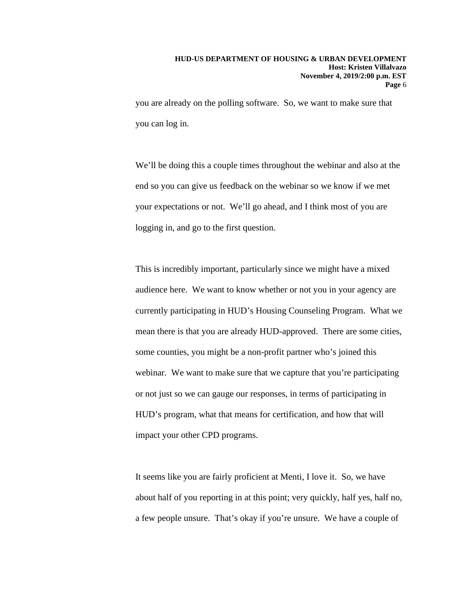you are already on the polling software. So, we want to make sure that you can log in.

We'll be doing this a couple times throughout the webinar and also at the end so you can give us feedback on the webinar so we know if we met your expectations or not. We'll go ahead, and I think most of you are logging in, and go to the first question.

This is incredibly important, particularly since we might have a mixed audience here. We want to know whether or not you in your agency are currently participating in HUD's Housing Counseling Program. What we mean there is that you are already HUD-approved. There are some cities, some counties, you might be a non-profit partner who's joined this webinar. We want to make sure that we capture that you're participating or not just so we can gauge our responses, in terms of participating in HUD's program, what that means for certification, and how that will impact your other CPD programs.

It seems like you are fairly proficient at Menti, I love it. So, we have about half of you reporting in at this point; very quickly, half yes, half no, a few people unsure. That's okay if you're unsure. We have a couple of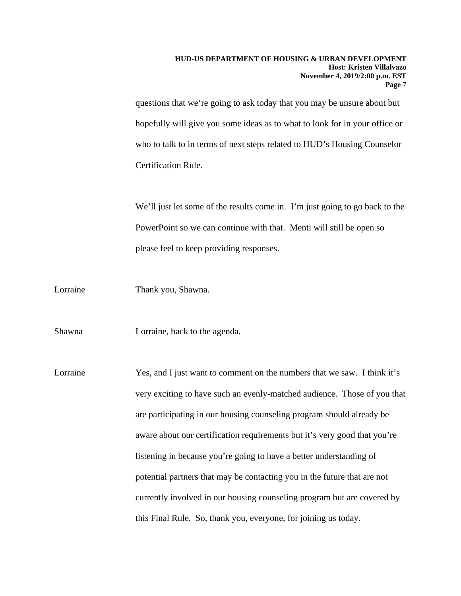questions that we're going to ask today that you may be unsure about but hopefully will give you some ideas as to what to look for in your office or who to talk to in terms of next steps related to HUD's Housing Counselor Certification Rule.

We'll just let some of the results come in. I'm just going to go back to the PowerPoint so we can continue with that. Menti will still be open so please feel to keep providing responses.

Lorraine Thank you, Shawna.

Shawna Lorraine, back to the agenda.

Lorraine Yes, and I just want to comment on the numbers that we saw. I think it's very exciting to have such an evenly-matched audience. Those of you that are participating in our housing counseling program should already be aware about our certification requirements but it's very good that you're listening in because you're going to have a better understanding of potential partners that may be contacting you in the future that are not currently involved in our housing counseling program but are covered by this Final Rule. So, thank you, everyone, for joining us today.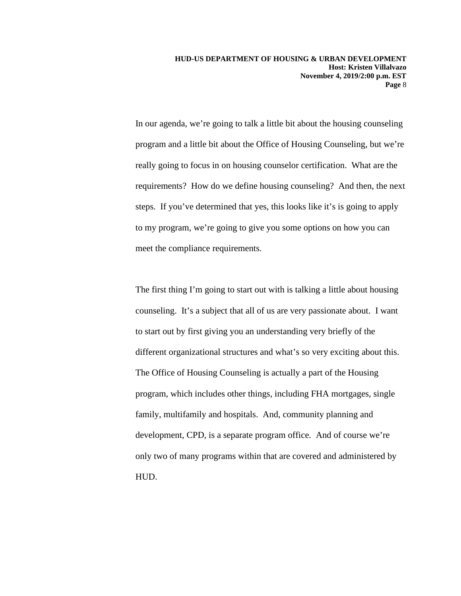In our agenda, we're going to talk a little bit about the housing counseling program and a little bit about the Office of Housing Counseling, but we're really going to focus in on housing counselor certification. What are the requirements? How do we define housing counseling? And then, the next steps. If you've determined that yes, this looks like it's is going to apply to my program, we're going to give you some options on how you can meet the compliance requirements.

The first thing I'm going to start out with is talking a little about housing counseling. It's a subject that all of us are very passionate about. I want to start out by first giving you an understanding very briefly of the different organizational structures and what's so very exciting about this. The Office of Housing Counseling is actually a part of the Housing program, which includes other things, including FHA mortgages, single family, multifamily and hospitals. And, community planning and development, CPD, is a separate program office. And of course we're only two of many programs within that are covered and administered by HUD.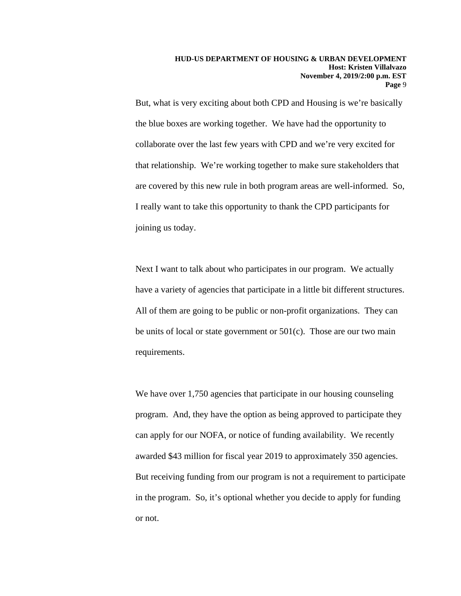But, what is very exciting about both CPD and Housing is we're basically the blue boxes are working together. We have had the opportunity to collaborate over the last few years with CPD and we're very excited for that relationship. We're working together to make sure stakeholders that are covered by this new rule in both program areas are well-informed. So, I really want to take this opportunity to thank the CPD participants for joining us today.

Next I want to talk about who participates in our program. We actually have a variety of agencies that participate in a little bit different structures. All of them are going to be public or non-profit organizations. They can be units of local or state government or 501(c). Those are our two main requirements.

We have over 1,750 agencies that participate in our housing counseling program. And, they have the option as being approved to participate they can apply for our NOFA, or notice of funding availability. We recently awarded \$43 million for fiscal year 2019 to approximately 350 agencies. But receiving funding from our program is not a requirement to participate in the program. So, it's optional whether you decide to apply for funding or not.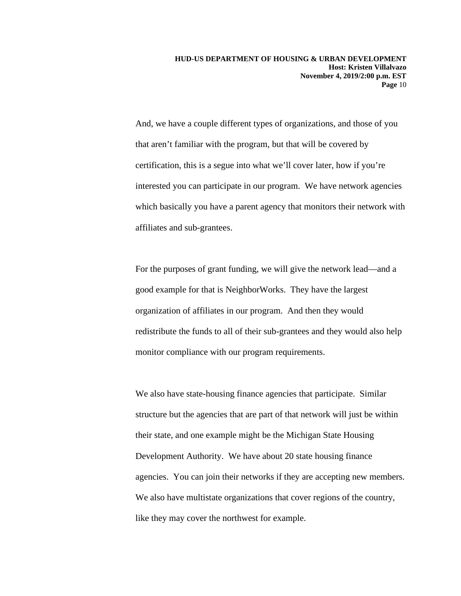And, we have a couple different types of organizations, and those of you that aren't familiar with the program, but that will be covered by certification, this is a segue into what we'll cover later, how if you're interested you can participate in our program. We have network agencies which basically you have a parent agency that monitors their network with affiliates and sub-grantees.

For the purposes of grant funding, we will give the network lead—and a good example for that is NeighborWorks. They have the largest organization of affiliates in our program. And then they would redistribute the funds to all of their sub-grantees and they would also help monitor compliance with our program requirements.

We also have state-housing finance agencies that participate. Similar structure but the agencies that are part of that network will just be within their state, and one example might be the Michigan State Housing Development Authority. We have about 20 state housing finance agencies. You can join their networks if they are accepting new members. We also have multistate organizations that cover regions of the country, like they may cover the northwest for example.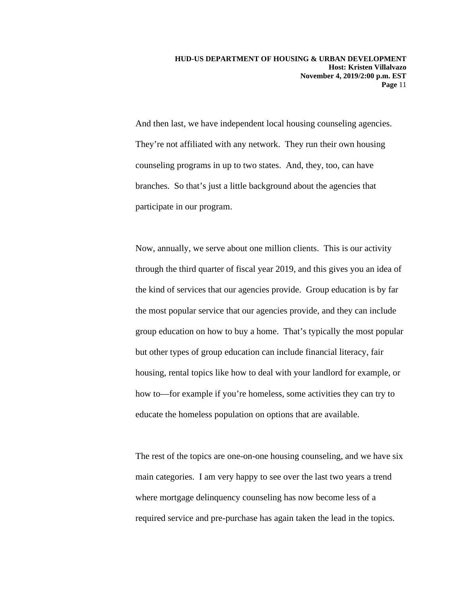And then last, we have independent local housing counseling agencies. They're not affiliated with any network. They run their own housing counseling programs in up to two states. And, they, too, can have branches. So that's just a little background about the agencies that participate in our program.

Now, annually, we serve about one million clients. This is our activity through the third quarter of fiscal year 2019, and this gives you an idea of the kind of services that our agencies provide. Group education is by far the most popular service that our agencies provide, and they can include group education on how to buy a home. That's typically the most popular but other types of group education can include financial literacy, fair housing, rental topics like how to deal with your landlord for example, or how to—for example if you're homeless, some activities they can try to educate the homeless population on options that are available.

The rest of the topics are one-on-one housing counseling, and we have six main categories. I am very happy to see over the last two years a trend where mortgage delinquency counseling has now become less of a required service and pre-purchase has again taken the lead in the topics.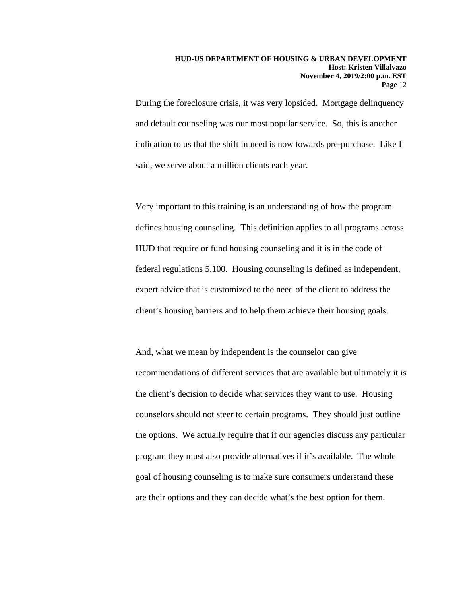During the foreclosure crisis, it was very lopsided. Mortgage delinquency and default counseling was our most popular service. So, this is another indication to us that the shift in need is now towards pre-purchase. Like I said, we serve about a million clients each year.

Very important to this training is an understanding of how the program defines housing counseling. This definition applies to all programs across HUD that require or fund housing counseling and it is in the code of federal regulations 5.100. Housing counseling is defined as independent, expert advice that is customized to the need of the client to address the client's housing barriers and to help them achieve their housing goals.

And, what we mean by independent is the counselor can give recommendations of different services that are available but ultimately it is the client's decision to decide what services they want to use. Housing counselors should not steer to certain programs. They should just outline the options. We actually require that if our agencies discuss any particular program they must also provide alternatives if it's available. The whole goal of housing counseling is to make sure consumers understand these are their options and they can decide what's the best option for them.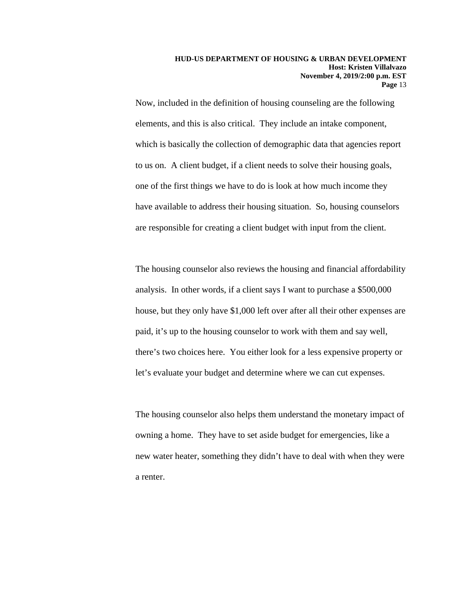Now, included in the definition of housing counseling are the following elements, and this is also critical. They include an intake component, which is basically the collection of demographic data that agencies report to us on. A client budget, if a client needs to solve their housing goals, one of the first things we have to do is look at how much income they have available to address their housing situation. So, housing counselors are responsible for creating a client budget with input from the client.

The housing counselor also reviews the housing and financial affordability analysis. In other words, if a client says I want to purchase a \$500,000 house, but they only have \$1,000 left over after all their other expenses are paid, it's up to the housing counselor to work with them and say well, there's two choices here. You either look for a less expensive property or let's evaluate your budget and determine where we can cut expenses.

The housing counselor also helps them understand the monetary impact of owning a home. They have to set aside budget for emergencies, like a new water heater, something they didn't have to deal with when they were a renter.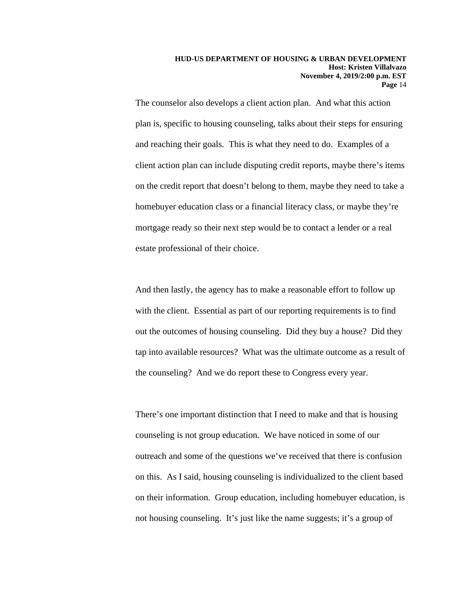The counselor also develops a client action plan. And what this action plan is, specific to housing counseling, talks about their steps for ensuring and reaching their goals. This is what they need to do. Examples of a client action plan can include disputing credit reports, maybe there's items on the credit report that doesn't belong to them, maybe they need to take a homebuyer education class or a financial literacy class, or maybe they're mortgage ready so their next step would be to contact a lender or a real estate professional of their choice.

And then lastly, the agency has to make a reasonable effort to follow up with the client. Essential as part of our reporting requirements is to find out the outcomes of housing counseling. Did they buy a house? Did they tap into available resources? What was the ultimate outcome as a result of the counseling? And we do report these to Congress every year.

There's one important distinction that I need to make and that is housing counseling is not group education. We have noticed in some of our outreach and some of the questions we've received that there is confusion on this. As I said, housing counseling is individualized to the client based on their information. Group education, including homebuyer education, is not housing counseling. It's just like the name suggests; it's a group of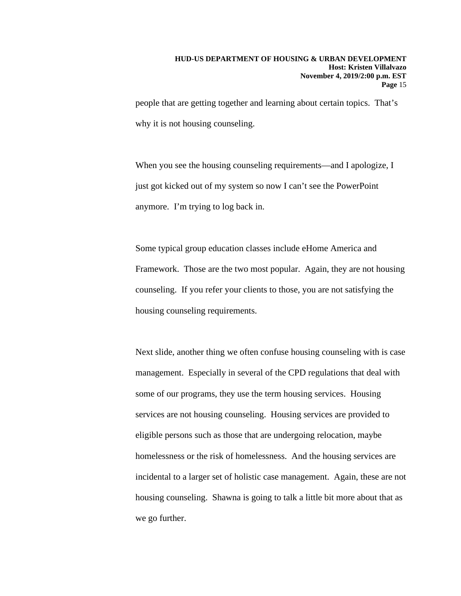people that are getting together and learning about certain topics. That's why it is not housing counseling.

When you see the housing counseling requirements—and I apologize, I just got kicked out of my system so now I can't see the PowerPoint anymore. I'm trying to log back in.

Some typical group education classes include eHome America and Framework. Those are the two most popular. Again, they are not housing counseling. If you refer your clients to those, you are not satisfying the housing counseling requirements.

Next slide, another thing we often confuse housing counseling with is case management. Especially in several of the CPD regulations that deal with some of our programs, they use the term housing services. Housing services are not housing counseling. Housing services are provided to eligible persons such as those that are undergoing relocation, maybe homelessness or the risk of homelessness. And the housing services are incidental to a larger set of holistic case management. Again, these are not housing counseling. Shawna is going to talk a little bit more about that as we go further.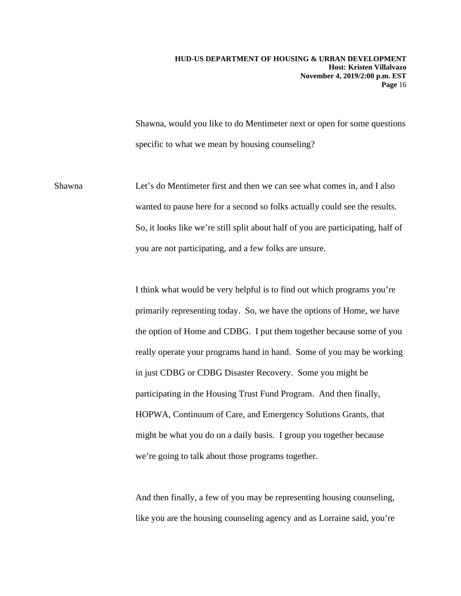Shawna, would you like to do Mentimeter next or open for some questions specific to what we mean by housing counseling?

Shawna Let's do Mentimeter first and then we can see what comes in, and I also wanted to pause here for a second so folks actually could see the results. So, it looks like we're still split about half of you are participating, half of you are not participating, and a few folks are unsure.

> I think what would be very helpful is to find out which programs you're primarily representing today. So, we have the options of Home, we have the option of Home and CDBG. I put them together because some of you really operate your programs hand in hand. Some of you may be working in just CDBG or CDBG Disaster Recovery. Some you might be participating in the Housing Trust Fund Program. And then finally, HOPWA, Continuum of Care, and Emergency Solutions Grants, that might be what you do on a daily basis. I group you together because we're going to talk about those programs together.

And then finally, a few of you may be representing housing counseling, like you are the housing counseling agency and as Lorraine said, you're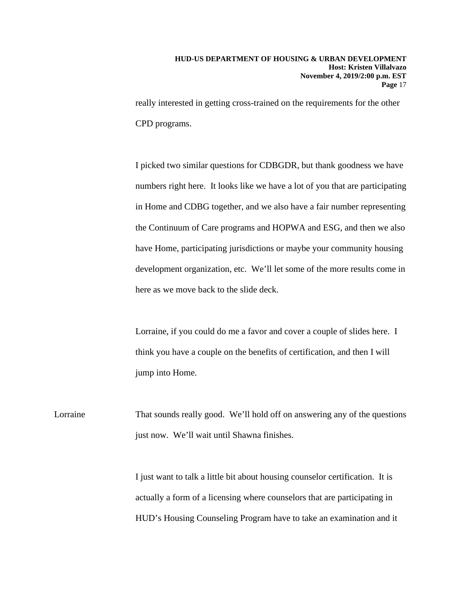really interested in getting cross-trained on the requirements for the other CPD programs.

I picked two similar questions for CDBGDR, but thank goodness we have numbers right here. It looks like we have a lot of you that are participating in Home and CDBG together, and we also have a fair number representing the Continuum of Care programs and HOPWA and ESG, and then we also have Home, participating jurisdictions or maybe your community housing development organization, etc. We'll let some of the more results come in here as we move back to the slide deck.

Lorraine, if you could do me a favor and cover a couple of slides here. I think you have a couple on the benefits of certification, and then I will jump into Home.

Lorraine That sounds really good. We'll hold off on answering any of the questions just now. We'll wait until Shawna finishes.

> I just want to talk a little bit about housing counselor certification. It is actually a form of a licensing where counselors that are participating in HUD's Housing Counseling Program have to take an examination and it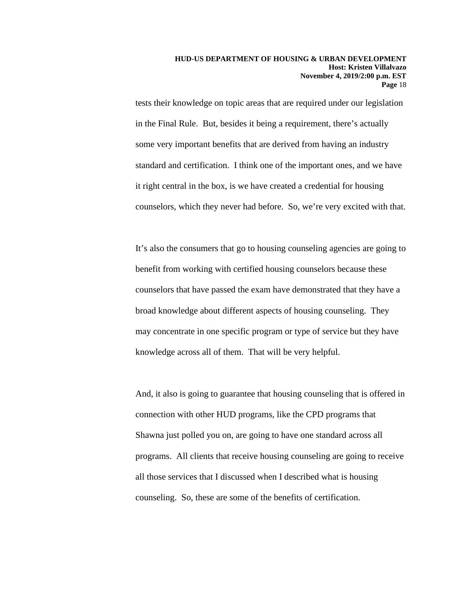tests their knowledge on topic areas that are required under our legislation in the Final Rule. But, besides it being a requirement, there's actually some very important benefits that are derived from having an industry standard and certification. I think one of the important ones, and we have it right central in the box, is we have created a credential for housing counselors, which they never had before. So, we're very excited with that.

It's also the consumers that go to housing counseling agencies are going to benefit from working with certified housing counselors because these counselors that have passed the exam have demonstrated that they have a broad knowledge about different aspects of housing counseling. They may concentrate in one specific program or type of service but they have knowledge across all of them. That will be very helpful.

And, it also is going to guarantee that housing counseling that is offered in connection with other HUD programs, like the CPD programs that Shawna just polled you on, are going to have one standard across all programs. All clients that receive housing counseling are going to receive all those services that I discussed when I described what is housing counseling. So, these are some of the benefits of certification.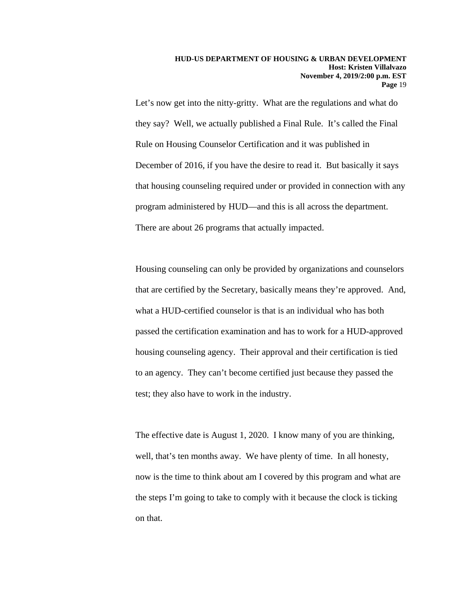Let's now get into the nitty-gritty. What are the regulations and what do they say? Well, we actually published a Final Rule. It's called the Final Rule on Housing Counselor Certification and it was published in December of 2016, if you have the desire to read it. But basically it says that housing counseling required under or provided in connection with any program administered by HUD—and this is all across the department. There are about 26 programs that actually impacted.

Housing counseling can only be provided by organizations and counselors that are certified by the Secretary, basically means they're approved. And, what a HUD-certified counselor is that is an individual who has both passed the certification examination and has to work for a HUD-approved housing counseling agency. Their approval and their certification is tied to an agency. They can't become certified just because they passed the test; they also have to work in the industry.

The effective date is August 1, 2020. I know many of you are thinking, well, that's ten months away. We have plenty of time. In all honesty, now is the time to think about am I covered by this program and what are the steps I'm going to take to comply with it because the clock is ticking on that.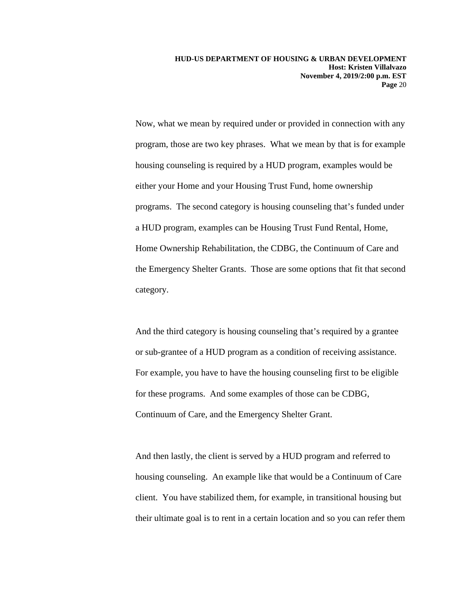Now, what we mean by required under or provided in connection with any program, those are two key phrases. What we mean by that is for example housing counseling is required by a HUD program, examples would be either your Home and your Housing Trust Fund, home ownership programs. The second category is housing counseling that's funded under a HUD program, examples can be Housing Trust Fund Rental, Home, Home Ownership Rehabilitation, the CDBG, the Continuum of Care and the Emergency Shelter Grants. Those are some options that fit that second category.

And the third category is housing counseling that's required by a grantee or sub-grantee of a HUD program as a condition of receiving assistance. For example, you have to have the housing counseling first to be eligible for these programs. And some examples of those can be CDBG, Continuum of Care, and the Emergency Shelter Grant.

And then lastly, the client is served by a HUD program and referred to housing counseling. An example like that would be a Continuum of Care client. You have stabilized them, for example, in transitional housing but their ultimate goal is to rent in a certain location and so you can refer them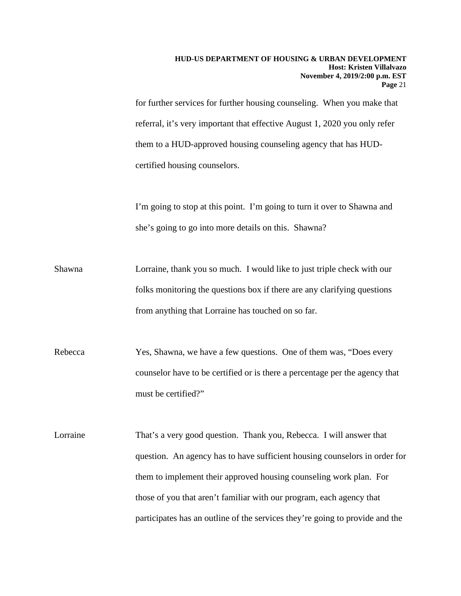for further services for further housing counseling. When you make that referral, it's very important that effective August 1, 2020 you only refer them to a HUD-approved housing counseling agency that has HUDcertified housing counselors.

I'm going to stop at this point. I'm going to turn it over to Shawna and she's going to go into more details on this. Shawna?

- Shawna Lorraine, thank you so much. I would like to just triple check with our folks monitoring the questions box if there are any clarifying questions from anything that Lorraine has touched on so far.
- Rebecca Yes, Shawna, we have a few questions. One of them was, "Does every counselor have to be certified or is there a percentage per the agency that must be certified?"

Lorraine That's a very good question. Thank you, Rebecca. I will answer that question. An agency has to have sufficient housing counselors in order for them to implement their approved housing counseling work plan. For those of you that aren't familiar with our program, each agency that participates has an outline of the services they're going to provide and the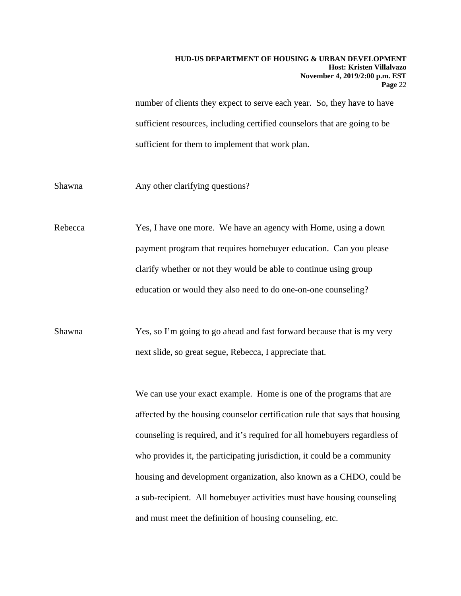number of clients they expect to serve each year. So, they have to have sufficient resources, including certified counselors that are going to be sufficient for them to implement that work plan.

Shawna Any other clarifying questions?

Rebecca Yes, I have one more. We have an agency with Home, using a down payment program that requires homebuyer education. Can you please clarify whether or not they would be able to continue using group education or would they also need to do one-on-one counseling?

Shawna Yes, so I'm going to go ahead and fast forward because that is my very next slide, so great segue, Rebecca, I appreciate that.

> We can use your exact example. Home is one of the programs that are affected by the housing counselor certification rule that says that housing counseling is required, and it's required for all homebuyers regardless of who provides it, the participating jurisdiction, it could be a community housing and development organization, also known as a CHDO, could be a sub-recipient. All homebuyer activities must have housing counseling and must meet the definition of housing counseling, etc.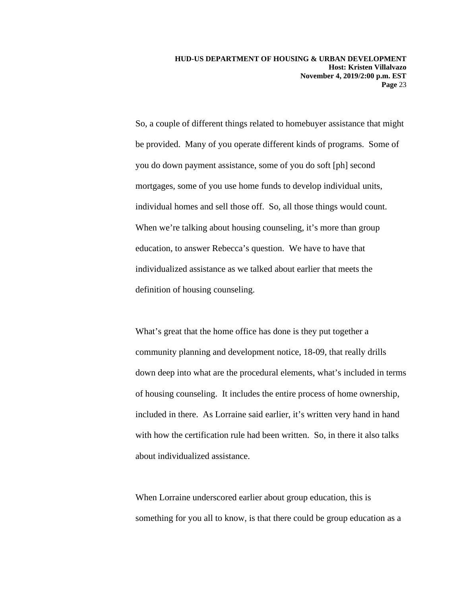So, a couple of different things related to homebuyer assistance that might be provided. Many of you operate different kinds of programs. Some of you do down payment assistance, some of you do soft [ph] second mortgages, some of you use home funds to develop individual units, individual homes and sell those off. So, all those things would count. When we're talking about housing counseling, it's more than group education, to answer Rebecca's question. We have to have that individualized assistance as we talked about earlier that meets the definition of housing counseling.

What's great that the home office has done is they put together a community planning and development notice, 18-09, that really drills down deep into what are the procedural elements, what's included in terms of housing counseling. It includes the entire process of home ownership, included in there. As Lorraine said earlier, it's written very hand in hand with how the certification rule had been written. So, in there it also talks about individualized assistance.

When Lorraine underscored earlier about group education, this is something for you all to know, is that there could be group education as a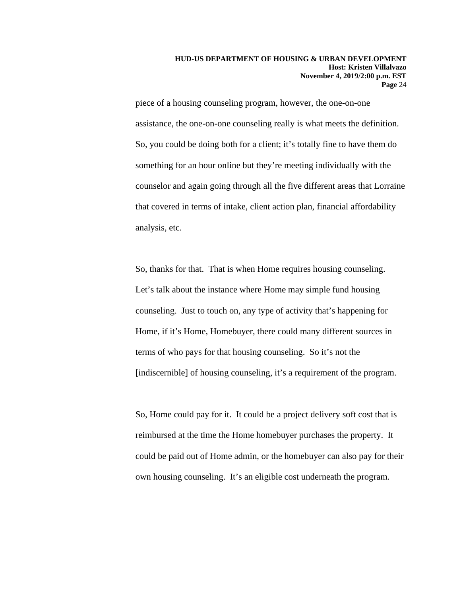piece of a housing counseling program, however, the one-on-one assistance, the one-on-one counseling really is what meets the definition. So, you could be doing both for a client; it's totally fine to have them do something for an hour online but they're meeting individually with the counselor and again going through all the five different areas that Lorraine that covered in terms of intake, client action plan, financial affordability analysis, etc.

So, thanks for that. That is when Home requires housing counseling. Let's talk about the instance where Home may simple fund housing counseling. Just to touch on, any type of activity that's happening for Home, if it's Home, Homebuyer, there could many different sources in terms of who pays for that housing counseling. So it's not the [indiscernible] of housing counseling, it's a requirement of the program.

So, Home could pay for it. It could be a project delivery soft cost that is reimbursed at the time the Home homebuyer purchases the property. It could be paid out of Home admin, or the homebuyer can also pay for their own housing counseling. It's an eligible cost underneath the program.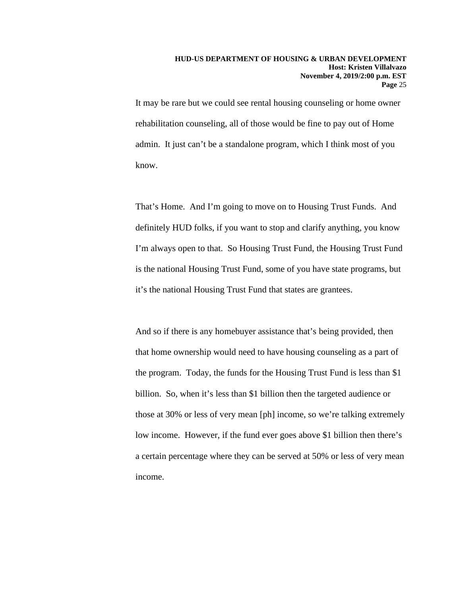It may be rare but we could see rental housing counseling or home owner rehabilitation counseling, all of those would be fine to pay out of Home admin. It just can't be a standalone program, which I think most of you know.

That's Home. And I'm going to move on to Housing Trust Funds. And definitely HUD folks, if you want to stop and clarify anything, you know I'm always open to that. So Housing Trust Fund, the Housing Trust Fund is the national Housing Trust Fund, some of you have state programs, but it's the national Housing Trust Fund that states are grantees.

And so if there is any homebuyer assistance that's being provided, then that home ownership would need to have housing counseling as a part of the program. Today, the funds for the Housing Trust Fund is less than \$1 billion. So, when it's less than \$1 billion then the targeted audience or those at 30% or less of very mean [ph] income, so we're talking extremely low income. However, if the fund ever goes above \$1 billion then there's a certain percentage where they can be served at 50% or less of very mean income.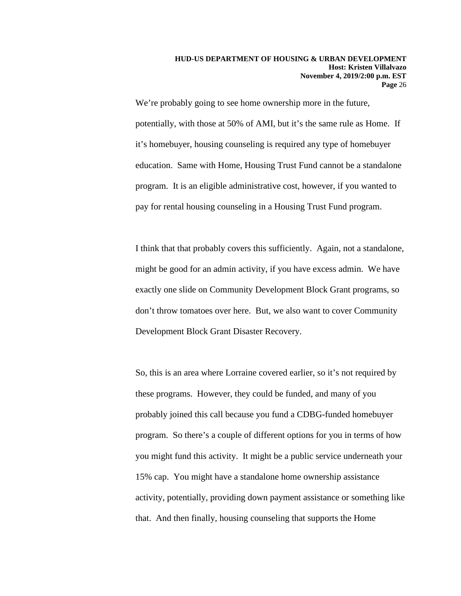We're probably going to see home ownership more in the future, potentially, with those at 50% of AMI, but it's the same rule as Home. If it's homebuyer, housing counseling is required any type of homebuyer education. Same with Home, Housing Trust Fund cannot be a standalone program. It is an eligible administrative cost, however, if you wanted to pay for rental housing counseling in a Housing Trust Fund program.

I think that that probably covers this sufficiently. Again, not a standalone, might be good for an admin activity, if you have excess admin. We have exactly one slide on Community Development Block Grant programs, so don't throw tomatoes over here. But, we also want to cover Community Development Block Grant Disaster Recovery.

So, this is an area where Lorraine covered earlier, so it's not required by these programs. However, they could be funded, and many of you probably joined this call because you fund a CDBG-funded homebuyer program. So there's a couple of different options for you in terms of how you might fund this activity. It might be a public service underneath your 15% cap. You might have a standalone home ownership assistance activity, potentially, providing down payment assistance or something like that. And then finally, housing counseling that supports the Home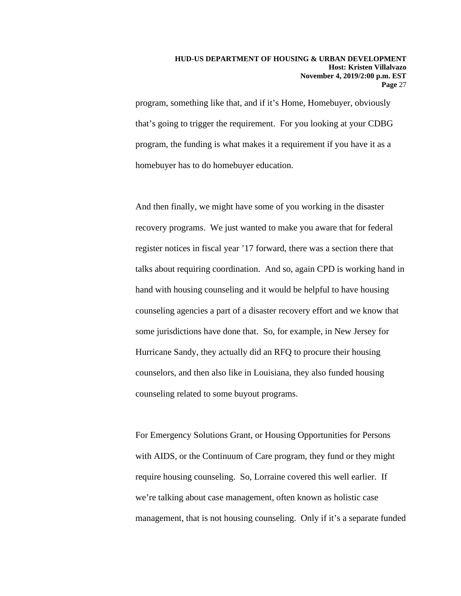program, something like that, and if it's Home, Homebuyer, obviously that's going to trigger the requirement. For you looking at your CDBG program, the funding is what makes it a requirement if you have it as a homebuyer has to do homebuyer education.

And then finally, we might have some of you working in the disaster recovery programs. We just wanted to make you aware that for federal register notices in fiscal year '17 forward, there was a section there that talks about requiring coordination. And so, again CPD is working hand in hand with housing counseling and it would be helpful to have housing counseling agencies a part of a disaster recovery effort and we know that some jurisdictions have done that. So, for example, in New Jersey for Hurricane Sandy, they actually did an RFQ to procure their housing counselors, and then also like in Louisiana, they also funded housing counseling related to some buyout programs.

For Emergency Solutions Grant, or Housing Opportunities for Persons with AIDS, or the Continuum of Care program, they fund or they might require housing counseling. So, Lorraine covered this well earlier. If we're talking about case management, often known as holistic case management, that is not housing counseling. Only if it's a separate funded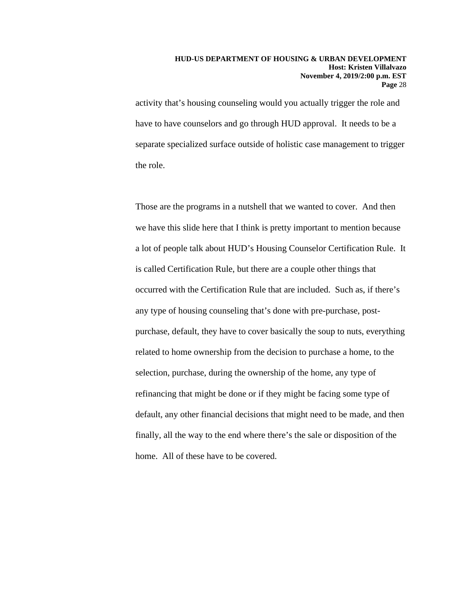activity that's housing counseling would you actually trigger the role and have to have counselors and go through HUD approval. It needs to be a separate specialized surface outside of holistic case management to trigger the role.

Those are the programs in a nutshell that we wanted to cover. And then we have this slide here that I think is pretty important to mention because a lot of people talk about HUD's Housing Counselor Certification Rule. It is called Certification Rule, but there are a couple other things that occurred with the Certification Rule that are included. Such as, if there's any type of housing counseling that's done with pre-purchase, postpurchase, default, they have to cover basically the soup to nuts, everything related to home ownership from the decision to purchase a home, to the selection, purchase, during the ownership of the home, any type of refinancing that might be done or if they might be facing some type of default, any other financial decisions that might need to be made, and then finally, all the way to the end where there's the sale or disposition of the home. All of these have to be covered.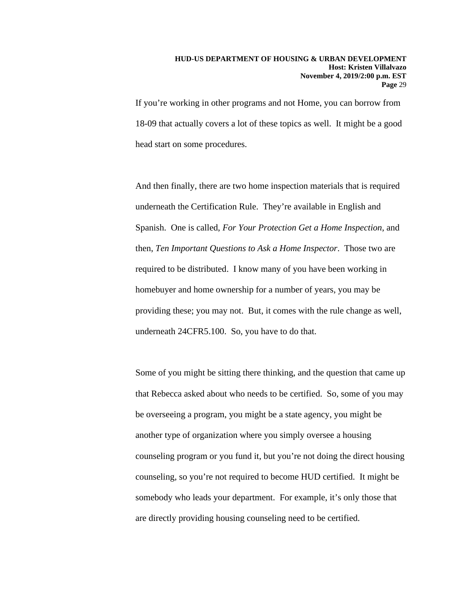If you're working in other programs and not Home, you can borrow from 18-09 that actually covers a lot of these topics as well. It might be a good head start on some procedures.

And then finally, there are two home inspection materials that is required underneath the Certification Rule. They're available in English and Spanish. One is called, *For Your Protection Get a Home Inspection*, and then, *Ten Important Questions to Ask a Home Inspector*. Those two are required to be distributed. I know many of you have been working in homebuyer and home ownership for a number of years, you may be providing these; you may not. But, it comes with the rule change as well, underneath 24CFR5.100. So, you have to do that.

Some of you might be sitting there thinking, and the question that came up that Rebecca asked about who needs to be certified. So, some of you may be overseeing a program, you might be a state agency, you might be another type of organization where you simply oversee a housing counseling program or you fund it, but you're not doing the direct housing counseling, so you're not required to become HUD certified. It might be somebody who leads your department. For example, it's only those that are directly providing housing counseling need to be certified.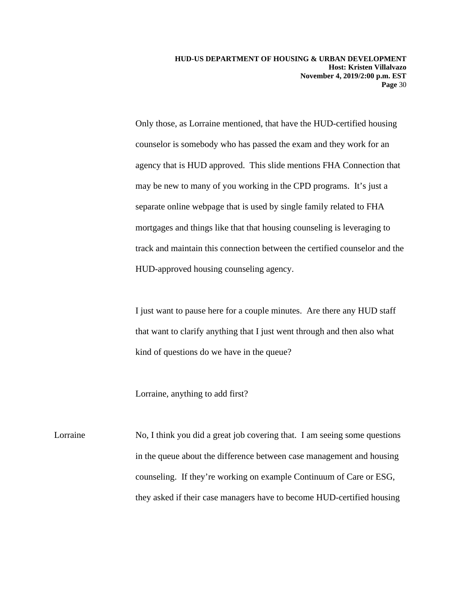Only those, as Lorraine mentioned, that have the HUD-certified housing counselor is somebody who has passed the exam and they work for an agency that is HUD approved. This slide mentions FHA Connection that may be new to many of you working in the CPD programs. It's just a separate online webpage that is used by single family related to FHA mortgages and things like that that housing counseling is leveraging to track and maintain this connection between the certified counselor and the HUD-approved housing counseling agency.

I just want to pause here for a couple minutes. Are there any HUD staff that want to clarify anything that I just went through and then also what kind of questions do we have in the queue?

Lorraine, anything to add first?

Lorraine No, I think you did a great job covering that. I am seeing some questions in the queue about the difference between case management and housing counseling. If they're working on example Continuum of Care or ESG, they asked if their case managers have to become HUD-certified housing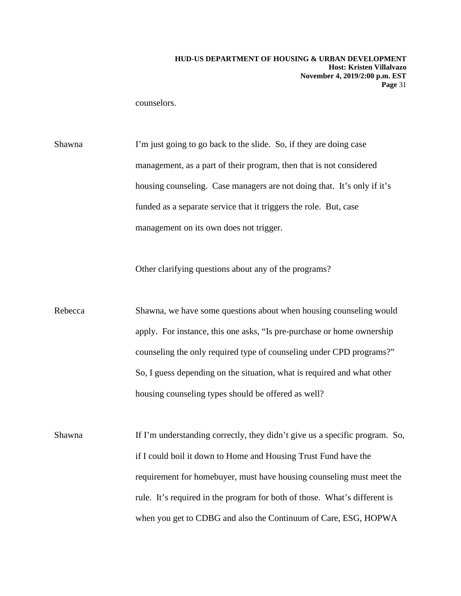counselors.

Shawna I'm just going to go back to the slide. So, if they are doing case management, as a part of their program, then that is not considered housing counseling. Case managers are not doing that. It's only if it's funded as a separate service that it triggers the role. But, case management on its own does not trigger.

Other clarifying questions about any of the programs?

Rebecca Shawna, we have some questions about when housing counseling would apply. For instance, this one asks, "Is pre-purchase or home ownership counseling the only required type of counseling under CPD programs?" So, I guess depending on the situation, what is required and what other housing counseling types should be offered as well?

Shawna If I'm understanding correctly, they didn't give us a specific program. So, if I could boil it down to Home and Housing Trust Fund have the requirement for homebuyer, must have housing counseling must meet the rule. It's required in the program for both of those. What's different is when you get to CDBG and also the Continuum of Care, ESG, HOPWA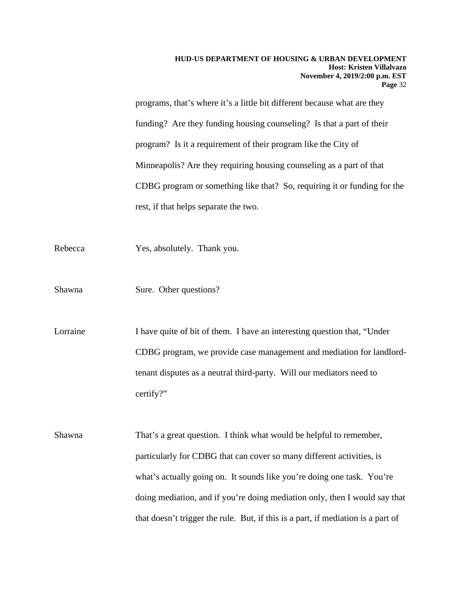programs, that's where it's a little bit different because what are they funding? Are they funding housing counseling? Is that a part of their program? Is it a requirement of their program like the City of Minneapolis? Are they requiring housing counseling as a part of that CDBG program or something like that? So, requiring it or funding for the rest, if that helps separate the two.

- Rebecca Yes, absolutely. Thank you.
- Shawna Sure. Other questions?

Lorraine I have quite of bit of them. I have an interesting question that, "Under CDBG program, we provide case management and mediation for landlordtenant disputes as a neutral third-party. Will our mediators need to certify?"

Shawna That's a great question. I think what would be helpful to remember, particularly for CDBG that can cover so many different activities, is what's actually going on. It sounds like you're doing one task. You're doing mediation, and if you're doing mediation only, then I would say that that doesn't trigger the rule. But, if this is a part, if mediation is a part of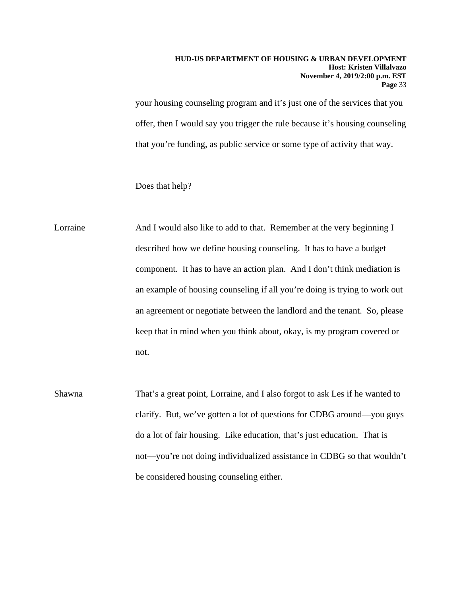your housing counseling program and it's just one of the services that you offer, then I would say you trigger the rule because it's housing counseling that you're funding, as public service or some type of activity that way.

Does that help?

Lorraine And I would also like to add to that. Remember at the very beginning I described how we define housing counseling. It has to have a budget component. It has to have an action plan. And I don't think mediation is an example of housing counseling if all you're doing is trying to work out an agreement or negotiate between the landlord and the tenant. So, please keep that in mind when you think about, okay, is my program covered or not.

Shawna That's a great point, Lorraine, and I also forgot to ask Les if he wanted to clarify. But, we've gotten a lot of questions for CDBG around—you guys do a lot of fair housing. Like education, that's just education. That is not—you're not doing individualized assistance in CDBG so that wouldn't be considered housing counseling either.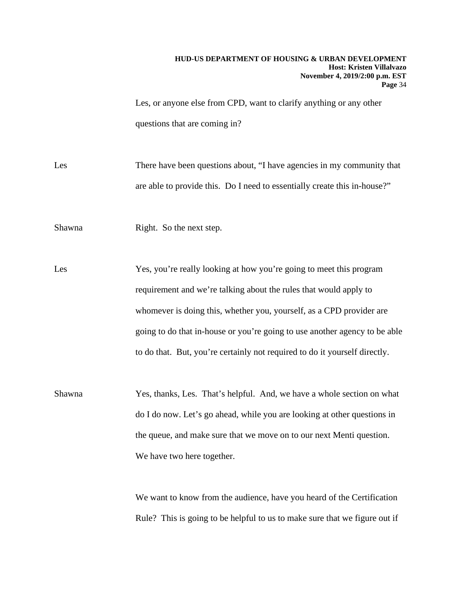Les, or anyone else from CPD, want to clarify anything or any other questions that are coming in?

Les There have been questions about, "I have agencies in my community that are able to provide this. Do I need to essentially create this in-house?"

Shawna Right. So the next step.

Les Yes, you're really looking at how you're going to meet this program requirement and we're talking about the rules that would apply to whomever is doing this, whether you, yourself, as a CPD provider are going to do that in-house or you're going to use another agency to be able to do that. But, you're certainly not required to do it yourself directly.

Shawna Yes, thanks, Les. That's helpful. And, we have a whole section on what do I do now. Let's go ahead, while you are looking at other questions in the queue, and make sure that we move on to our next Menti question. We have two here together.

> We want to know from the audience, have you heard of the Certification Rule? This is going to be helpful to us to make sure that we figure out if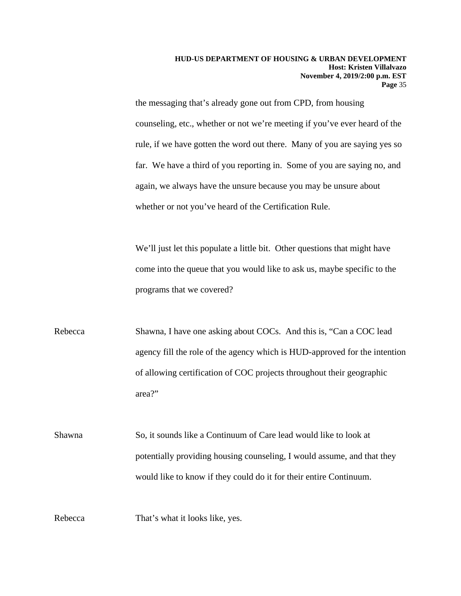the messaging that's already gone out from CPD, from housing counseling, etc., whether or not we're meeting if you've ever heard of the rule, if we have gotten the word out there. Many of you are saying yes so far. We have a third of you reporting in. Some of you are saying no, and again, we always have the unsure because you may be unsure about whether or not you've heard of the Certification Rule.

We'll just let this populate a little bit. Other questions that might have come into the queue that you would like to ask us, maybe specific to the programs that we covered?

Rebecca Shawna, I have one asking about COCs. And this is, "Can a COC lead agency fill the role of the agency which is HUD-approved for the intention of allowing certification of COC projects throughout their geographic area?"

Shawna So, it sounds like a Continuum of Care lead would like to look at potentially providing housing counseling, I would assume, and that they would like to know if they could do it for their entire Continuum.

Rebecca That's what it looks like, yes.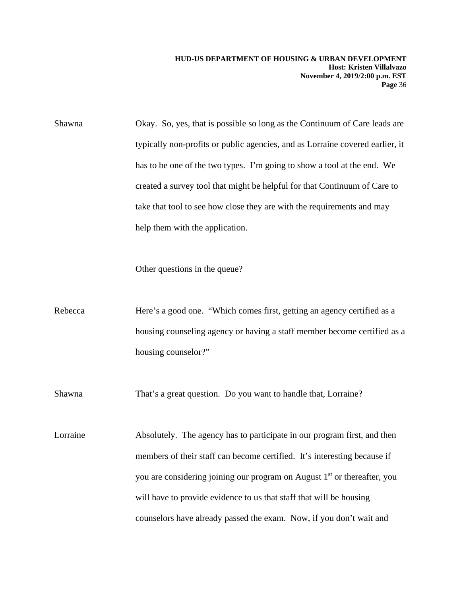Shawna Okay. So, yes, that is possible so long as the Continuum of Care leads are typically non-profits or public agencies, and as Lorraine covered earlier, it has to be one of the two types. I'm going to show a tool at the end. We created a survey tool that might be helpful for that Continuum of Care to take that tool to see how close they are with the requirements and may help them with the application.

Other questions in the queue?

Rebecca Here's a good one. "Which comes first, getting an agency certified as a housing counseling agency or having a staff member become certified as a housing counselor?"

Shawna That's a great question. Do you want to handle that, Lorraine?

Lorraine Absolutely. The agency has to participate in our program first, and then members of their staff can become certified. It's interesting because if you are considering joining our program on August 1<sup>st</sup> or thereafter, you will have to provide evidence to us that staff that will be housing counselors have already passed the exam. Now, if you don't wait and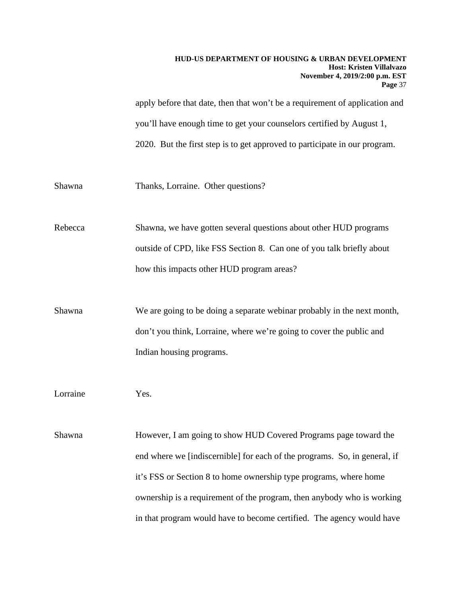apply before that date, then that won't be a requirement of application and you'll have enough time to get your counselors certified by August 1, 2020. But the first step is to get approved to participate in our program.

Shawna Thanks, Lorraine. Other questions?

Rebecca Shawna, we have gotten several questions about other HUD programs outside of CPD, like FSS Section 8. Can one of you talk briefly about how this impacts other HUD program areas?

Shawna We are going to be doing a separate webinar probably in the next month, don't you think, Lorraine, where we're going to cover the public and Indian housing programs.

Lorraine Yes.

Shawna However, I am going to show HUD Covered Programs page toward the end where we [indiscernible] for each of the programs. So, in general, if it's FSS or Section 8 to home ownership type programs, where home ownership is a requirement of the program, then anybody who is working in that program would have to become certified. The agency would have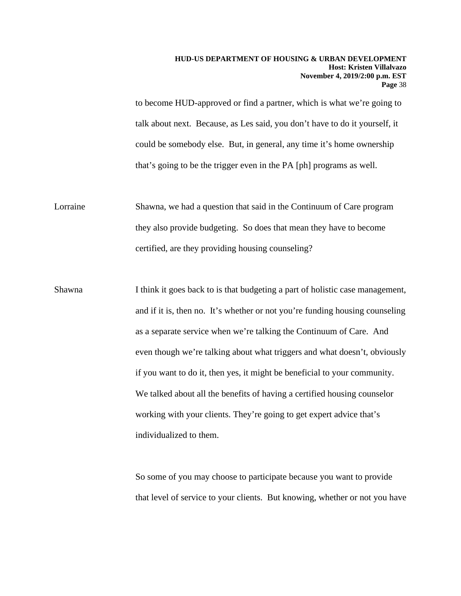to become HUD-approved or find a partner, which is what we're going to talk about next. Because, as Les said, you don't have to do it yourself, it could be somebody else. But, in general, any time it's home ownership that's going to be the trigger even in the PA [ph] programs as well.

Lorraine Shawna, we had a question that said in the Continuum of Care program they also provide budgeting. So does that mean they have to become certified, are they providing housing counseling?

Shawna I think it goes back to is that budgeting a part of holistic case management, and if it is, then no. It's whether or not you're funding housing counseling as a separate service when we're talking the Continuum of Care. And even though we're talking about what triggers and what doesn't, obviously if you want to do it, then yes, it might be beneficial to your community. We talked about all the benefits of having a certified housing counselor working with your clients. They're going to get expert advice that's individualized to them.

> So some of you may choose to participate because you want to provide that level of service to your clients. But knowing, whether or not you have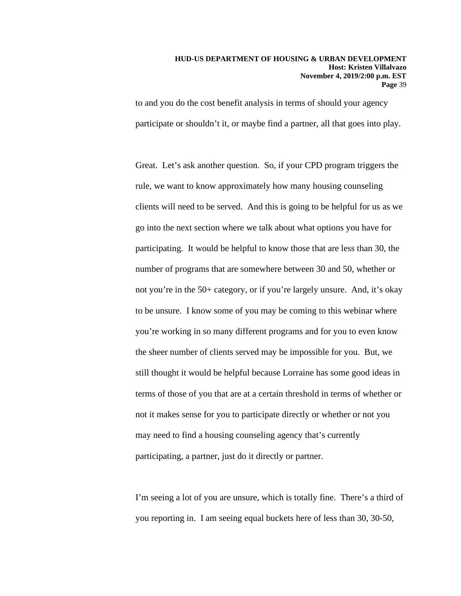to and you do the cost benefit analysis in terms of should your agency participate or shouldn't it, or maybe find a partner, all that goes into play.

Great. Let's ask another question. So, if your CPD program triggers the rule, we want to know approximately how many housing counseling clients will need to be served. And this is going to be helpful for us as we go into the next section where we talk about what options you have for participating. It would be helpful to know those that are less than 30, the number of programs that are somewhere between 30 and 50, whether or not you're in the 50+ category, or if you're largely unsure. And, it's okay to be unsure. I know some of you may be coming to this webinar where you're working in so many different programs and for you to even know the sheer number of clients served may be impossible for you. But, we still thought it would be helpful because Lorraine has some good ideas in terms of those of you that are at a certain threshold in terms of whether or not it makes sense for you to participate directly or whether or not you may need to find a housing counseling agency that's currently participating, a partner, just do it directly or partner.

I'm seeing a lot of you are unsure, which is totally fine. There's a third of you reporting in. I am seeing equal buckets here of less than 30, 30-50,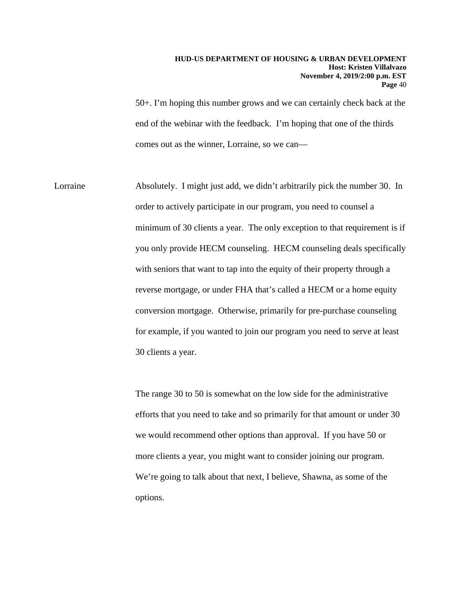50+. I'm hoping this number grows and we can certainly check back at the end of the webinar with the feedback. I'm hoping that one of the thirds comes out as the winner, Lorraine, so we can—

Lorraine Absolutely. I might just add, we didn't arbitrarily pick the number 30. In order to actively participate in our program, you need to counsel a minimum of 30 clients a year. The only exception to that requirement is if you only provide HECM counseling. HECM counseling deals specifically with seniors that want to tap into the equity of their property through a reverse mortgage, or under FHA that's called a HECM or a home equity conversion mortgage. Otherwise, primarily for pre-purchase counseling for example, if you wanted to join our program you need to serve at least 30 clients a year.

> The range 30 to 50 is somewhat on the low side for the administrative efforts that you need to take and so primarily for that amount or under 30 we would recommend other options than approval. If you have 50 or more clients a year, you might want to consider joining our program. We're going to talk about that next, I believe, Shawna, as some of the options.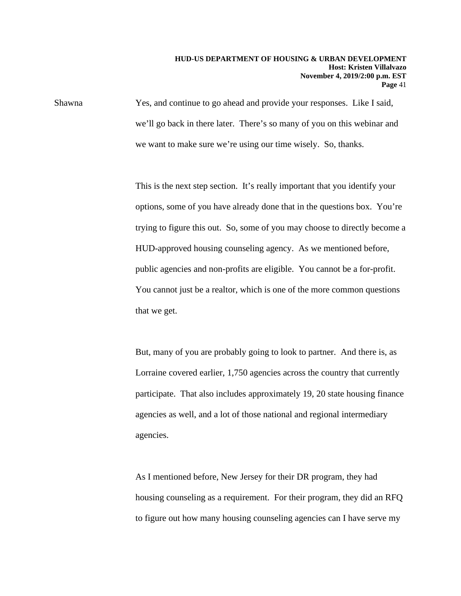Shawna Yes, and continue to go ahead and provide your responses. Like I said, we'll go back in there later. There's so many of you on this webinar and we want to make sure we're using our time wisely. So, thanks.

> This is the next step section. It's really important that you identify your options, some of you have already done that in the questions box. You're trying to figure this out. So, some of you may choose to directly become a HUD-approved housing counseling agency. As we mentioned before, public agencies and non-profits are eligible. You cannot be a for-profit. You cannot just be a realtor, which is one of the more common questions that we get.

But, many of you are probably going to look to partner. And there is, as Lorraine covered earlier, 1,750 agencies across the country that currently participate. That also includes approximately 19, 20 state housing finance agencies as well, and a lot of those national and regional intermediary agencies.

As I mentioned before, New Jersey for their DR program, they had housing counseling as a requirement. For their program, they did an RFQ to figure out how many housing counseling agencies can I have serve my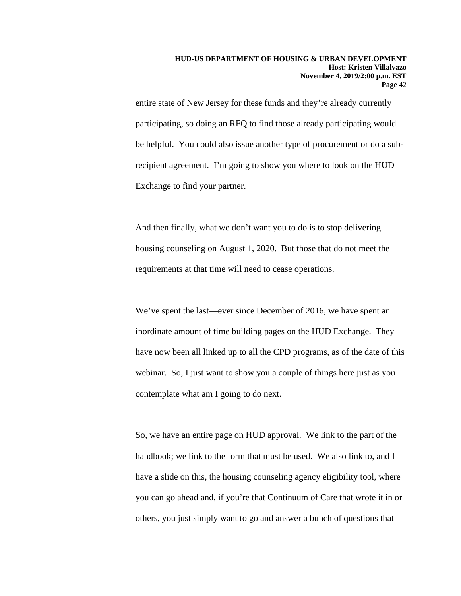entire state of New Jersey for these funds and they're already currently participating, so doing an RFQ to find those already participating would be helpful. You could also issue another type of procurement or do a subrecipient agreement. I'm going to show you where to look on the HUD Exchange to find your partner.

And then finally, what we don't want you to do is to stop delivering housing counseling on August 1, 2020. But those that do not meet the requirements at that time will need to cease operations.

We've spent the last—ever since December of 2016, we have spent an inordinate amount of time building pages on the HUD Exchange. They have now been all linked up to all the CPD programs, as of the date of this webinar. So, I just want to show you a couple of things here just as you contemplate what am I going to do next.

So, we have an entire page on HUD approval. We link to the part of the handbook; we link to the form that must be used. We also link to, and I have a slide on this, the housing counseling agency eligibility tool, where you can go ahead and, if you're that Continuum of Care that wrote it in or others, you just simply want to go and answer a bunch of questions that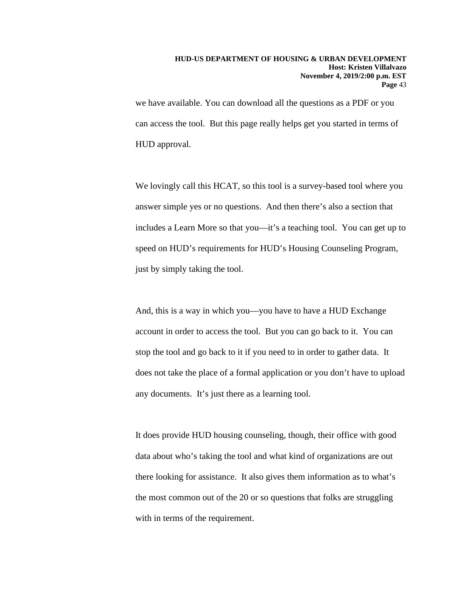we have available. You can download all the questions as a PDF or you can access the tool. But this page really helps get you started in terms of HUD approval.

We lovingly call this HCAT, so this tool is a survey-based tool where you answer simple yes or no questions. And then there's also a section that includes a Learn More so that you—it's a teaching tool. You can get up to speed on HUD's requirements for HUD's Housing Counseling Program, just by simply taking the tool.

And, this is a way in which you—you have to have a HUD Exchange account in order to access the tool. But you can go back to it. You can stop the tool and go back to it if you need to in order to gather data. It does not take the place of a formal application or you don't have to upload any documents. It's just there as a learning tool.

It does provide HUD housing counseling, though, their office with good data about who's taking the tool and what kind of organizations are out there looking for assistance. It also gives them information as to what's the most common out of the 20 or so questions that folks are struggling with in terms of the requirement.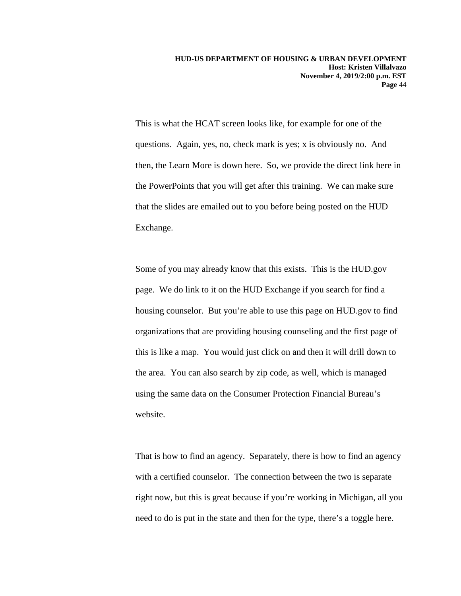This is what the HCAT screen looks like, for example for one of the questions. Again, yes, no, check mark is yes; x is obviously no. And then, the Learn More is down here. So, we provide the direct link here in the PowerPoints that you will get after this training. We can make sure that the slides are emailed out to you before being posted on the HUD Exchange.

Some of you may already know that this exists. This is the HUD.gov page. We do link to it on the HUD Exchange if you search for find a housing counselor. But you're able to use this page on HUD.gov to find organizations that are providing housing counseling and the first page of this is like a map. You would just click on and then it will drill down to the area. You can also search by zip code, as well, which is managed using the same data on the Consumer Protection Financial Bureau's website.

That is how to find an agency. Separately, there is how to find an agency with a certified counselor. The connection between the two is separate right now, but this is great because if you're working in Michigan, all you need to do is put in the state and then for the type, there's a toggle here.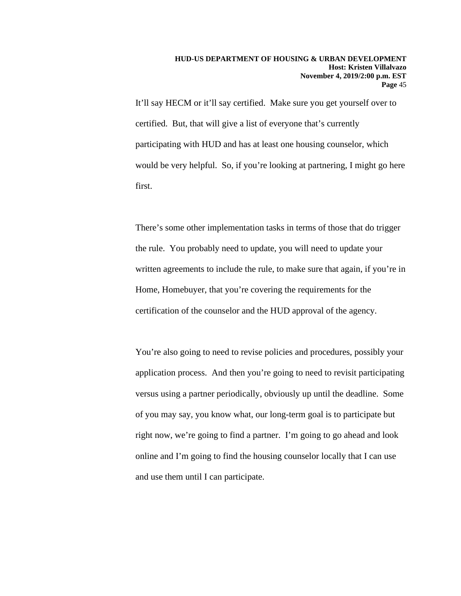It'll say HECM or it'll say certified. Make sure you get yourself over to certified. But, that will give a list of everyone that's currently participating with HUD and has at least one housing counselor, which would be very helpful. So, if you're looking at partnering, I might go here first.

There's some other implementation tasks in terms of those that do trigger the rule. You probably need to update, you will need to update your written agreements to include the rule, to make sure that again, if you're in Home, Homebuyer, that you're covering the requirements for the certification of the counselor and the HUD approval of the agency.

You're also going to need to revise policies and procedures, possibly your application process. And then you're going to need to revisit participating versus using a partner periodically, obviously up until the deadline. Some of you may say, you know what, our long-term goal is to participate but right now, we're going to find a partner. I'm going to go ahead and look online and I'm going to find the housing counselor locally that I can use and use them until I can participate.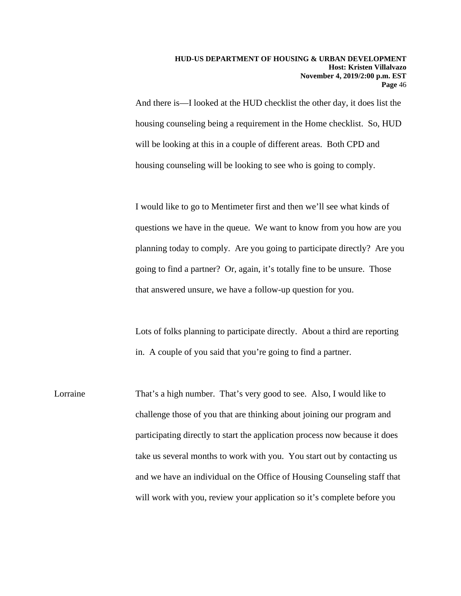And there is—I looked at the HUD checklist the other day, it does list the housing counseling being a requirement in the Home checklist. So, HUD will be looking at this in a couple of different areas. Both CPD and housing counseling will be looking to see who is going to comply.

I would like to go to Mentimeter first and then we'll see what kinds of questions we have in the queue. We want to know from you how are you planning today to comply. Are you going to participate directly? Are you going to find a partner? Or, again, it's totally fine to be unsure. Those that answered unsure, we have a follow-up question for you.

Lots of folks planning to participate directly. About a third are reporting in. A couple of you said that you're going to find a partner.

Lorraine That's a high number. That's very good to see. Also, I would like to challenge those of you that are thinking about joining our program and participating directly to start the application process now because it does take us several months to work with you. You start out by contacting us and we have an individual on the Office of Housing Counseling staff that will work with you, review your application so it's complete before you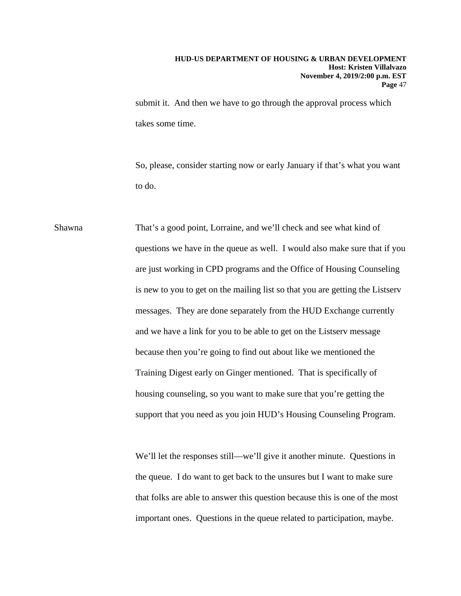submit it. And then we have to go through the approval process which takes some time.

So, please, consider starting now or early January if that's what you want to do.

Shawna That's a good point, Lorraine, and we'll check and see what kind of questions we have in the queue as well. I would also make sure that if you are just working in CPD programs and the Office of Housing Counseling is new to you to get on the mailing list so that you are getting the Listserv messages. They are done separately from the HUD Exchange currently and we have a link for you to be able to get on the Listserv message because then you're going to find out about like we mentioned the Training Digest early on Ginger mentioned. That is specifically of housing counseling, so you want to make sure that you're getting the support that you need as you join HUD's Housing Counseling Program.

> We'll let the responses still—we'll give it another minute. Questions in the queue. I do want to get back to the unsures but I want to make sure that folks are able to answer this question because this is one of the most important ones. Questions in the queue related to participation, maybe.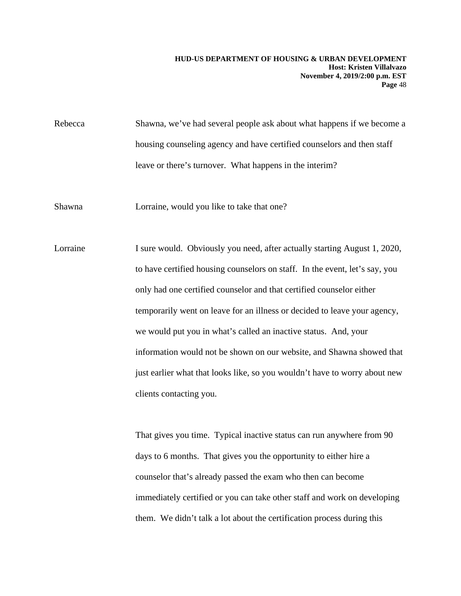Rebecca Shawna, we've had several people ask about what happens if we become a housing counseling agency and have certified counselors and then staff leave or there's turnover. What happens in the interim?

Shawna Lorraine, would you like to take that one?

Lorraine I sure would. Obviously you need, after actually starting August 1, 2020, to have certified housing counselors on staff. In the event, let's say, you only had one certified counselor and that certified counselor either temporarily went on leave for an illness or decided to leave your agency, we would put you in what's called an inactive status. And, your information would not be shown on our website, and Shawna showed that just earlier what that looks like, so you wouldn't have to worry about new clients contacting you.

> That gives you time. Typical inactive status can run anywhere from 90 days to 6 months. That gives you the opportunity to either hire a counselor that's already passed the exam who then can become immediately certified or you can take other staff and work on developing them. We didn't talk a lot about the certification process during this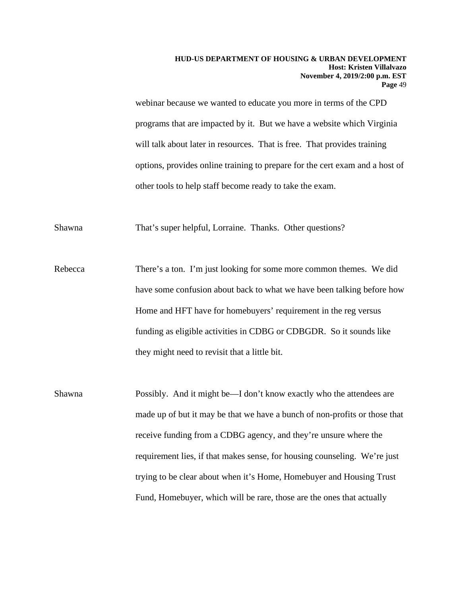webinar because we wanted to educate you more in terms of the CPD programs that are impacted by it. But we have a website which Virginia will talk about later in resources. That is free. That provides training options, provides online training to prepare for the cert exam and a host of other tools to help staff become ready to take the exam.

Shawna That's super helpful, Lorraine. Thanks. Other questions?

Rebecca There's a ton. I'm just looking for some more common themes. We did have some confusion about back to what we have been talking before how Home and HFT have for homebuyers' requirement in the reg versus funding as eligible activities in CDBG or CDBGDR. So it sounds like they might need to revisit that a little bit.

Shawna Possibly. And it might be—I don't know exactly who the attendees are made up of but it may be that we have a bunch of non-profits or those that receive funding from a CDBG agency, and they're unsure where the requirement lies, if that makes sense, for housing counseling. We're just trying to be clear about when it's Home, Homebuyer and Housing Trust Fund, Homebuyer, which will be rare, those are the ones that actually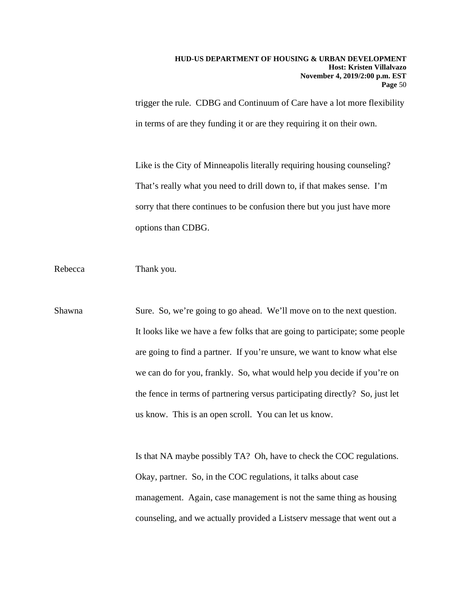trigger the rule. CDBG and Continuum of Care have a lot more flexibility in terms of are they funding it or are they requiring it on their own.

Like is the City of Minneapolis literally requiring housing counseling? That's really what you need to drill down to, if that makes sense. I'm sorry that there continues to be confusion there but you just have more options than CDBG.

Rebecca Thank you.

Shawna Sure. So, we're going to go ahead. We'll move on to the next question. It looks like we have a few folks that are going to participate; some people are going to find a partner. If you're unsure, we want to know what else we can do for you, frankly. So, what would help you decide if you're on the fence in terms of partnering versus participating directly? So, just let us know. This is an open scroll. You can let us know.

> Is that NA maybe possibly TA? Oh, have to check the COC regulations. Okay, partner. So, in the COC regulations, it talks about case management. Again, case management is not the same thing as housing counseling, and we actually provided a Listserv message that went out a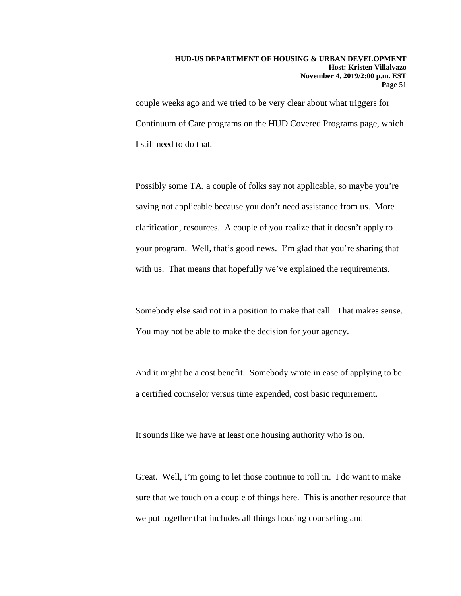couple weeks ago and we tried to be very clear about what triggers for Continuum of Care programs on the HUD Covered Programs page, which I still need to do that.

Possibly some TA, a couple of folks say not applicable, so maybe you're saying not applicable because you don't need assistance from us. More clarification, resources. A couple of you realize that it doesn't apply to your program. Well, that's good news. I'm glad that you're sharing that with us. That means that hopefully we've explained the requirements.

Somebody else said not in a position to make that call. That makes sense. You may not be able to make the decision for your agency.

And it might be a cost benefit. Somebody wrote in ease of applying to be a certified counselor versus time expended, cost basic requirement.

It sounds like we have at least one housing authority who is on.

Great. Well, I'm going to let those continue to roll in. I do want to make sure that we touch on a couple of things here. This is another resource that we put together that includes all things housing counseling and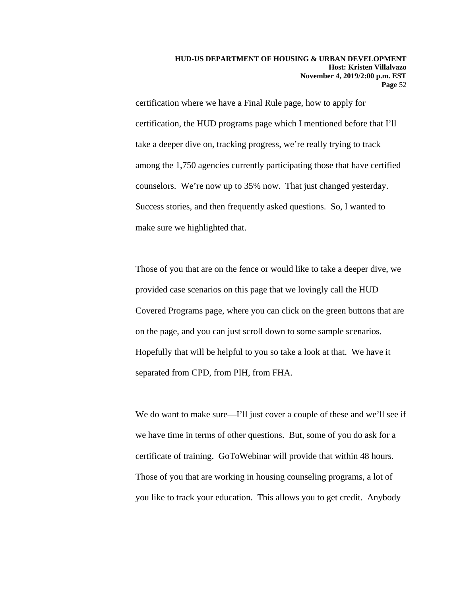certification where we have a Final Rule page, how to apply for certification, the HUD programs page which I mentioned before that I'll take a deeper dive on, tracking progress, we're really trying to track among the 1,750 agencies currently participating those that have certified counselors. We're now up to 35% now. That just changed yesterday. Success stories, and then frequently asked questions. So, I wanted to make sure we highlighted that.

Those of you that are on the fence or would like to take a deeper dive, we provided case scenarios on this page that we lovingly call the HUD Covered Programs page, where you can click on the green buttons that are on the page, and you can just scroll down to some sample scenarios. Hopefully that will be helpful to you so take a look at that. We have it separated from CPD, from PIH, from FHA.

We do want to make sure—I'll just cover a couple of these and we'll see if we have time in terms of other questions. But, some of you do ask for a certificate of training. GoToWebinar will provide that within 48 hours. Those of you that are working in housing counseling programs, a lot of you like to track your education. This allows you to get credit. Anybody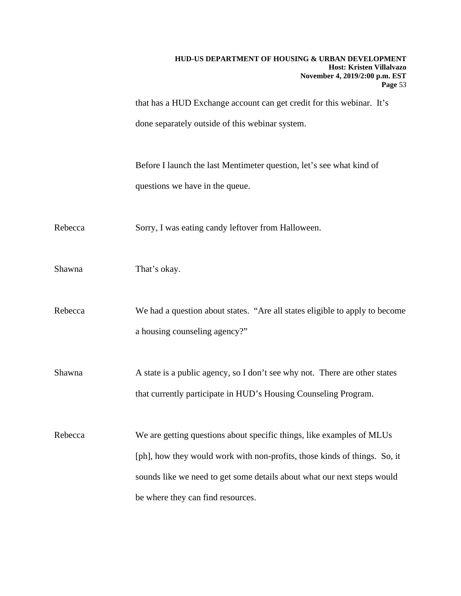that has a HUD Exchange account can get credit for this webinar. It's done separately outside of this webinar system.

Before I launch the last Mentimeter question, let's see what kind of questions we have in the queue.

Rebecca Sorry, I was eating candy leftover from Halloween.

Shawna That's okay.

Rebecca We had a question about states. "Are all states eligible to apply to become a housing counseling agency?"

Shawna A state is a public agency, so I don't see why not. There are other states that currently participate in HUD's Housing Counseling Program.

Rebecca We are getting questions about specific things, like examples of MLUs [ph], how they would work with non-profits, those kinds of things. So, it sounds like we need to get some details about what our next steps would be where they can find resources.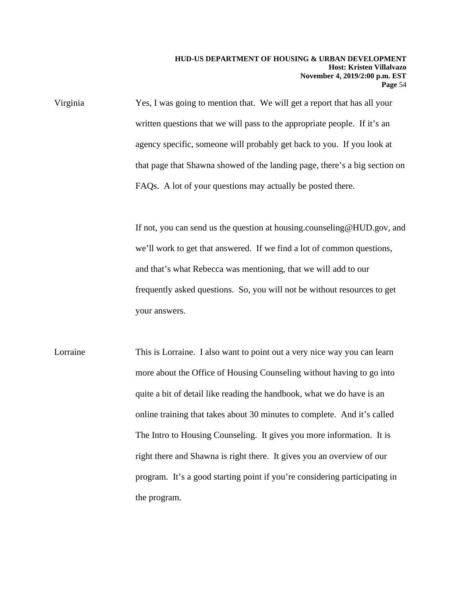Virginia Yes, I was going to mention that. We will get a report that has all your written questions that we will pass to the appropriate people. If it's an agency specific, someone will probably get back to you. If you look at that page that Shawna showed of the landing page, there's a big section on FAQs. A lot of your questions may actually be posted there.

> If not, you can send us the question at housing.counseling@HUD.gov, and we'll work to get that answered. If we find a lot of common questions, and that's what Rebecca was mentioning, that we will add to our frequently asked questions. So, you will not be without resources to get your answers.

Lorraine This is Lorraine. I also want to point out a very nice way you can learn more about the Office of Housing Counseling without having to go into quite a bit of detail like reading the handbook, what we do have is an online training that takes about 30 minutes to complete. And it's called The Intro to Housing Counseling. It gives you more information. It is right there and Shawna is right there. It gives you an overview of our program. It's a good starting point if you're considering participating in the program.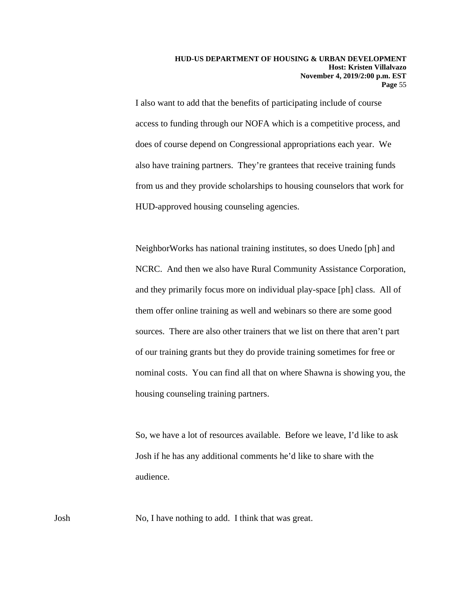I also want to add that the benefits of participating include of course access to funding through our NOFA which is a competitive process, and does of course depend on Congressional appropriations each year. We also have training partners. They're grantees that receive training funds from us and they provide scholarships to housing counselors that work for HUD-approved housing counseling agencies.

NeighborWorks has national training institutes, so does Unedo [ph] and NCRC. And then we also have Rural Community Assistance Corporation, and they primarily focus more on individual play-space [ph] class. All of them offer online training as well and webinars so there are some good sources. There are also other trainers that we list on there that aren't part of our training grants but they do provide training sometimes for free or nominal costs. You can find all that on where Shawna is showing you, the housing counseling training partners.

So, we have a lot of resources available. Before we leave, I'd like to ask Josh if he has any additional comments he'd like to share with the audience.

Josh No, I have nothing to add. I think that was great.